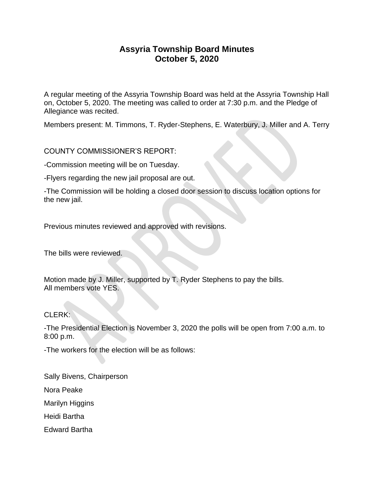# **Assyria Township Board Minutes October 5, 2020**

A regular meeting of the Assyria Township Board was held at the Assyria Township Hall on, October 5, 2020. The meeting was called to order at 7:30 p.m. and the Pledge of Allegiance was recited.

Members present: M. Timmons, T. Ryder-Stephens, E. Waterbury, J. Miller and A. Terry

# COUNTY COMMISSIONER'S REPORT:

-Commission meeting will be on Tuesday.

-Flyers regarding the new jail proposal are out.

-The Commission will be holding a closed door session to discuss location options for the new jail.

Previous minutes reviewed and approved with revisions.

The bills were reviewed.

Motion made by J. Miller, supported by T. Ryder Stephens to pay the bills. All members vote YES.

#### CLERK:

-The Presidential Election is November 3, 2020 the polls will be open from 7:00 a.m. to 8:00 p.m.

-The workers for the election will be as follows:

Sally Bivens, Chairperson

Nora Peake

Marilyn Higgins

Heidi Bartha

Edward Bartha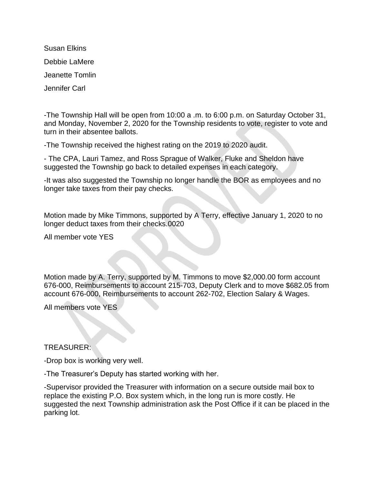Susan Elkins Debbie LaMere Jeanette Tomlin Jennifer Carl

-The Township Hall will be open from 10:00 a .m. to 6:00 p.m. on Saturday October 31, and Monday, November 2, 2020 for the Township residents to vote, register to vote and turn in their absentee ballots.

-The Township received the highest rating on the 2019 to 2020 audit.

- The CPA, Lauri Tamez, and Ross Sprague of Walker, Fluke and Sheldon have suggested the Township go back to detailed expenses in each category.

-It was also suggested the Township no longer handle the BOR as employees and no longer take taxes from their pay checks.

Motion made by Mike Timmons, supported by A Terry, effective January 1, 2020 to no longer deduct taxes from their checks.0020

All member vote YES

Motion made by A. Terry, supported by M. Timmons to move \$2,000.00 form account 676-000, Reimbursements to account 215-703, Deputy Clerk and to move \$682.05 from account 676-000, Reimbursements to account 262-702, Election Salary & Wages.

All members vote YES

TREASURER:

-Drop box is working very well.

-The Treasurer's Deputy has started working with her.

-Supervisor provided the Treasurer with information on a secure outside mail box to replace the existing P.O. Box system which, in the long run is more costly. He suggested the next Township administration ask the Post Office if it can be placed in the parking lot.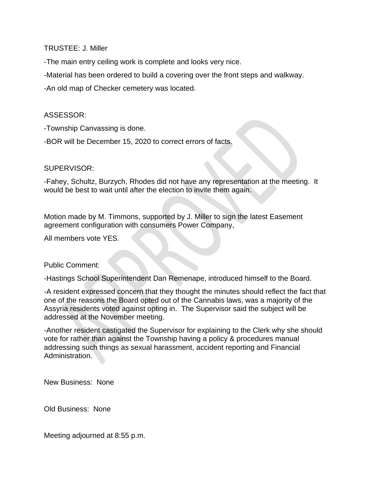TRUSTEE: J. Miller

-The main entry ceiling work is complete and looks very nice.

-Material has been ordered to build a covering over the front steps and walkway.

-An old map of Checker cemetery was located.

## ASSESSOR:

-Township Canvassing is done.

-BOR will be December 15, 2020 to correct errors of facts.

### SUPERVISOR:

-Fahey, Schultz, Burzych, Rhodes did not have any representation at the meeting. It would be best to wait until after the election to invite them again.

Motion made by M. Timmons, supported by J. Miller to sign the latest Easement agreement configuration with consumers Power Company,

All members vote YES.

Public Comment:

-Hastings School Superintendent Dan Remenape, introduced himself to the Board.

-A resident expressed concern that they thought the minutes should reflect the fact that one of the reasons the Board opted out of the Cannabis laws, was a majority of the Assyria residents voted against opting in. The Supervisor said the subject will be addressed at the November meeting.

-Another resident castigated the Supervisor for explaining to the Clerk why she should vote for rather than against the Township having a policy & procedures manual addressing such things as sexual harassment, accident reporting and Financial Administration.

New Business: None

Old Business: None

Meeting adjourned at 8:55 p.m.